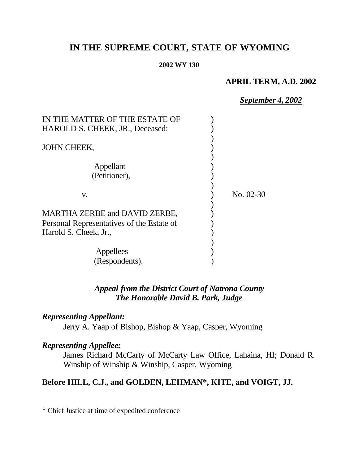# **IN THE SUPREME COURT, STATE OF WYOMING**

#### **2002 WY 130**

### **APRIL TERM, A.D. 2002**

*September 4, 2002*

| IN THE MATTER OF THE ESTATE OF            |           |
|-------------------------------------------|-----------|
| HAROLD S. CHEEK, JR., Deceased:           |           |
|                                           |           |
| JOHN CHEEK,                               |           |
|                                           |           |
| Appellant                                 |           |
| (Petitioner),                             |           |
|                                           |           |
| V.                                        | No. 02-30 |
|                                           |           |
| <b>MARTHA ZERBE and DAVID ZERBE,</b>      |           |
| Personal Representatives of the Estate of |           |
| Harold S. Cheek, Jr.,                     |           |
|                                           |           |
| Appellees                                 |           |
| (Respondents).                            |           |

### *Appeal from the District Court of Natrona County The Honorable David B. Park, Judge*

## *Representing Appellant:*

Jerry A. Yaap of Bishop, Bishop & Yaap, Casper, Wyoming

### *Representing Appellee:*

James Richard McCarty of McCarty Law Office, Lahaina, HI; Donald R. Winship of Winship & Winship, Casper, Wyoming

## **Before HILL, C.J., and GOLDEN, LEHMAN\*, KITE, and VOIGT, JJ.**

\* Chief Justice at time of expedited conference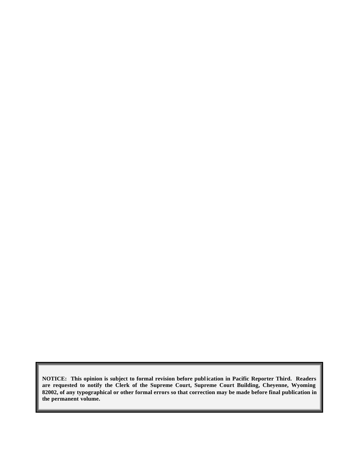**NOTICE: This opinion is subject to formal revision before publ ication in Pacific Reporter Third. Readers are requested to notify the Clerk of the Supreme Court, Supreme Court Building, Cheyenne, Wyoming 82002, of any typographical or other formal errors so that correction may be made before final publication in the permanent volume.**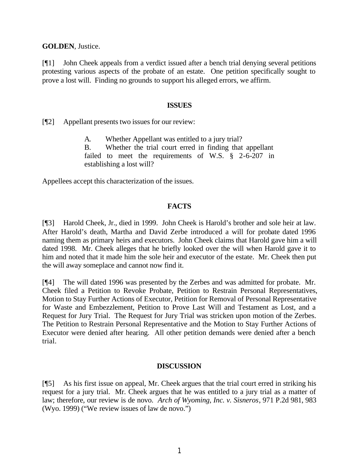**GOLDEN**, Justice.

[¶1] John Cheek appeals from a verdict issued after a bench trial denying several petitions protesting various aspects of the probate of an estate. One petition specifically sought to prove a lost will. Finding no grounds to support his alleged errors, we affirm.

#### **ISSUES**

[¶2] Appellant presents two issues for our review:

A. Whether Appellant was entitled to a jury trial?

B. Whether the trial court erred in finding that appellant failed to meet the requirements of W.S. § 2-6-207 in establishing a lost will?

Appellees accept this characterization of the issues.

### **FACTS**

[¶3] Harold Cheek, Jr., died in 1999. John Cheek is Harold's brother and sole heir at law. After Harold's death, Martha and David Zerbe introduced a will for probate dated 1996 naming them as primary heirs and executors. John Cheek claims that Harold gave him a will dated 1998. Mr. Cheek alleges that he briefly looked over the will when Harold gave it to him and noted that it made him the sole heir and executor of the estate. Mr. Cheek then put the will away someplace and cannot now find it.

[¶4] The will dated 1996 was presented by the Zerbes and was admitted for probate. Mr. Cheek filed a Petition to Revoke Probate, Petition to Restrain Personal Representatives, Motion to Stay Further Actions of Executor, Petition for Removal of Personal Representative for Waste and Embezzlement, Petition to Prove Last Will and Testament as Lost, and a Request for Jury Trial. The Request for Jury Trial was stricken upon motion of the Zerbes. The Petition to Restrain Personal Representative and the Motion to Stay Further Actions of Executor were denied after hearing. All other petition demands were denied after a bench trial.

#### **DISCUSSION**

[¶5] As his first issue on appeal, Mr. Cheek argues that the trial court erred in striking his request for a jury trial. Mr. Cheek argues that he was entitled to a jury trial as a matter of law; therefore, our review is de novo. *Arch of Wyoming, Inc. v. Sisneros*, 971 P.2d 981, 983 (Wyo. 1999) ("We review issues of law de novo.")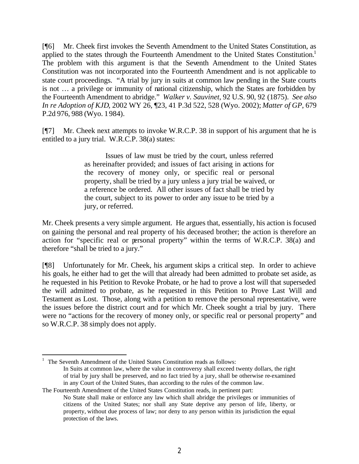[¶6] Mr. Cheek first invokes the Seventh Amendment to the United States Constitution, as applied to the states through the Fourteenth Amendment to the United States Constitution.<sup>1</sup> The problem with this argument is that the Seventh Amendment to the United States Constitution was not incorporated into the Fourteenth Amendment and is not applicable to state court proceedings. "A trial by jury in suits at common law pending in the State courts is not … a privilege or immunity of national citizenship, which the States are forbidden by the Fourteenth Amendment to abridge." *Walker v. Sauvinet*, 92 U.S. 90, 92 (1875). *See also In re Adoption of KJD*, 2002 WY 26, ¶23, 41 P.3d 522, 528 (Wyo. 2002); *Matter of GP*, 679 P.2d 976, 988 (Wyo. 1984).

[¶7] Mr. Cheek next attempts to invoke W.R.C.P. 38 in support of his argument that he is entitled to a jury trial. W.R.C.P. 38(a) states:

> Issues of law must be tried by the court, unless referred as hereinafter provided; and issues of fact arising in actions for the recovery of money only, or specific real or personal property, shall be tried by a jury unless a jury trial be waived, or a reference be ordered. All other issues of fact shall be tried by the court, subject to its power to order any issue to be tried by a jury, or referred.

Mr. Cheek presents a very simple argument. He argues that, essentially, his action is focused on gaining the personal and real property of his deceased brother; the action is therefore an action for "specific real or personal property" within the terms of W.R.C.P. 38(a) and therefore "shall be tried to a jury."

[¶8] Unfortunately for Mr. Cheek, his argument skips a critical step. In order to achieve his goals, he either had to get the will that already had been admitted to probate set aside, as he requested in his Petition to Revoke Probate, or he had to prove a lost will that superseded the will admitted to probate, as he requested in this Petition to Prove Last Will and Testament as Lost. Those, along with a petition to remove the personal representative, were the issues before the district court and for which Mr. Cheek sought a trial by jury. There were no "actions for the recovery of money only, or specific real or personal property" and so W.R.C.P. 38 simply does not apply.

 1 The Seventh Amendment of the United States Constitution reads as follows: In Suits at common law, where the value in controversy shall exceed twenty dollars, the right of trial by jury shall be preserved, and no fact tried by a jury, shall be otherwise re-examined in any Court of the United States, than according to the rules of the common law.

The Fourteenth Amendment of the United States Constitution reads, in pertinent part:

No State shall make or enforce any law which shall abridge the privileges or immunities of citizens of the United States; nor shall any State deprive any person of life, liberty, or property, without due process of law; nor deny to any person within its jurisdiction the equal protection of the laws.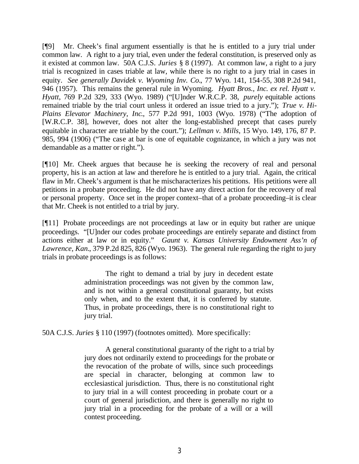[¶9] Mr. Cheek's final argument essentially is that he is entitled to a jury trial under common law. A right to a jury trial, even under the federal constitution, is preserved only as it existed at common law. 50A C.J.S. *Juries* § 8 (1997). At common law, a right to a jury trial is recognized in cases triable at law, while there is no right to a jury trial in cases in equity. *See generally Davidek v. Wyoming Inv. Co.*, 77 Wyo. 141, 154-55, 308 P.2d 941, 946 (1957). This remains the general rule in Wyoming. *Hyatt Bros., Inc. ex rel. Hyatt v. Hyatt*, 769 P.2d 329, 333 (Wyo. 1989) ("[U]nder W.R.C.P. 38, *purely* equitable actions remained triable by the trial court unless it ordered an issue tried to a jury."); *True v. Hi-Plains Elevator Machinery, Inc*., 577 P.2d 991, 1003 (Wyo. 1978) ("The adoption of [W.R.C.P. 38], however, does not alter the long-established precept that cases purely equitable in character are triable by the court."); *Lellman v. Mills*, 15 Wyo. 149, 176, 87 P. 985, 994 (1906) ("The case at bar is one of equitable cognizance, in which a jury was not demandable as a matter or right.").

[¶10] Mr. Cheek argues that because he is seeking the recovery of real and personal property, his is an action at law and therefore he is entitled to a jury trial. Again, the critical flaw in Mr. Cheek's argument is that he mischaracterizes his petitions. His petitions were all petitions in a probate proceeding. He did not have any direct action for the recovery of real or personal property. Once set in the proper context–that of a probate proceeding–it is clear that Mr. Cheek is not entitled to a trial by jury.

[¶11] Probate proceedings are not proceedings at law or in equity but rather are unique proceedings. "[U]nder our codes probate proceedings are entirely separate and distinct from actions either at law or in equity." *Gaunt v. Kansas University Endowment Ass'n of Lawrence, Kan.*, 379 P.2d 825, 826 (Wyo. 1963). The general rule regarding the right to jury trials in probate proceedings is as follows:

> The right to demand a trial by jury in decedent estate administration proceedings was not given by the common law, and is not within a general constitutional guaranty, but exists only when, and to the extent that, it is conferred by statute. Thus, in probate proceedings, there is no constitutional right to jury trial.

50A C.J.S. *Juries* § 110 (1997) (footnotes omitted). More specifically:

A general constitutional guaranty of the right to a trial by jury does not ordinarily extend to proceedings for the probate or the revocation of the probate of wills, since such proceedings are special in character, belonging at common law to ecclesiastical jurisdiction. Thus, there is no constitutional right to jury trial in a will contest proceeding in probate court or a court of general jurisdiction, and there is generally no right to jury trial in a proceeding for the probate of a will or a will contest proceeding.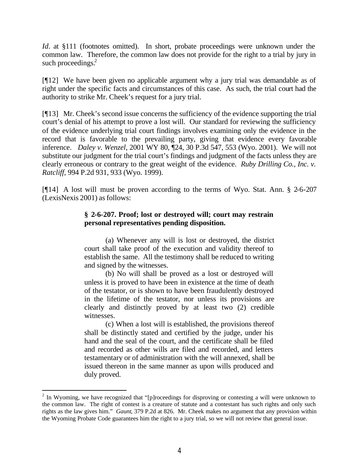*Id.* at §111 (footnotes omitted). In short, probate proceedings were unknown under the common law. Therefore, the common law does not provide for the right to a trial by jury in such proceedings.<sup>2</sup>

[¶12] We have been given no applicable argument why a jury trial was demandable as of right under the specific facts and circumstances of this case. As such, the trial court had the authority to strike Mr. Cheek's request for a jury trial.

[¶13] Mr. Cheek's second issue concerns the sufficiency of the evidence supporting the trial court's denial of his attempt to prove a lost will. Our standard for reviewing the sufficiency of the evidence underlying trial court findings involves examining only the evidence in the record that is favorable to the prevailing party, giving that evidence every favorable inference. *Daley v. Wenzel*, 2001 WY 80, ¶24, 30 P.3d 547, 553 (Wyo. 2001). We will not substitute our judgment for the trial court's findings and judgment of the facts unless they are clearly erroneous or contrary to the great weight of the evidence. *Ruby Drilling Co., Inc. v. Ratcliff*, 994 P.2d 931, 933 (Wyo. 1999).

[¶14] A lost will must be proven according to the terms of Wyo. Stat. Ann. § 2-6-207 (LexisNexis 2001) as follows:

### **§ 2-6-207. Proof; lost or destroyed will; court may restrain personal representatives pending disposition.**

(a) Whenever any will is lost or destroyed, the district court shall take proof of the execution and validity thereof to establish the same. All the testimony shall be reduced to writing and signed by the witnesses.

(b) No will shall be proved as a lost or destroyed will unless it is proved to have been in existence at the time of death of the testator, or is shown to have been fraudulently destroyed in the lifetime of the testator, nor unless its provisions are clearly and distinctly proved by at least two (2) credible witnesses.

(c) When a lost will is established, the provisions thereof shall be distinctly stated and certified by the judge, under his hand and the seal of the court, and the certificate shall be filed and recorded as other wills are filed and recorded, and letters testamentary or of administration with the will annexed, shall be issued thereon in the same manner as upon wills produced and duly proved.

 $2$  In Wyoming, we have recognized that "[p]roceedings for disproving or contesting a will were unknown to the common law. The right of contest is a creature of statute and a contestant has such rights and only such rights as the law gives him." *Gaunt*, 379 P.2d at 826. Mr. Cheek makes no argument that any provision within the Wyoming Probate Code guarantees him the right to a jury trial, so we will not review that general issue.